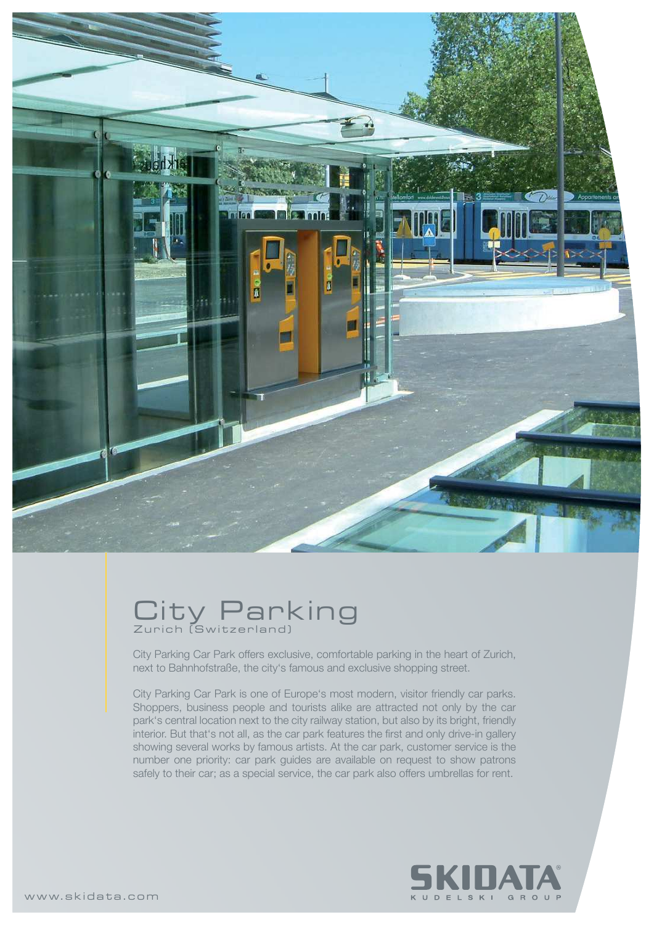

## City Parking Zurich (Switzerland)

City Parking Car Park offers exclusive, comfortable parking in the heart of Zurich, next to Bahnhofstraße, the city's famous and exclusive shopping street.

City Parking Car Park is one of Europe's most modern, visitor friendly car parks. Shoppers, business people and tourists alike are attracted not only by the car park's central location next to the city railway station, but also by its bright, friendly interior. But that's not all, as the car park features the first and only drive-in gallery showing several works by famous artists. At the car park, customer service is the number one priority: car park guides are available on request to show patrons safely to their car; as a special service, the car park also offers umbrellas for rent.